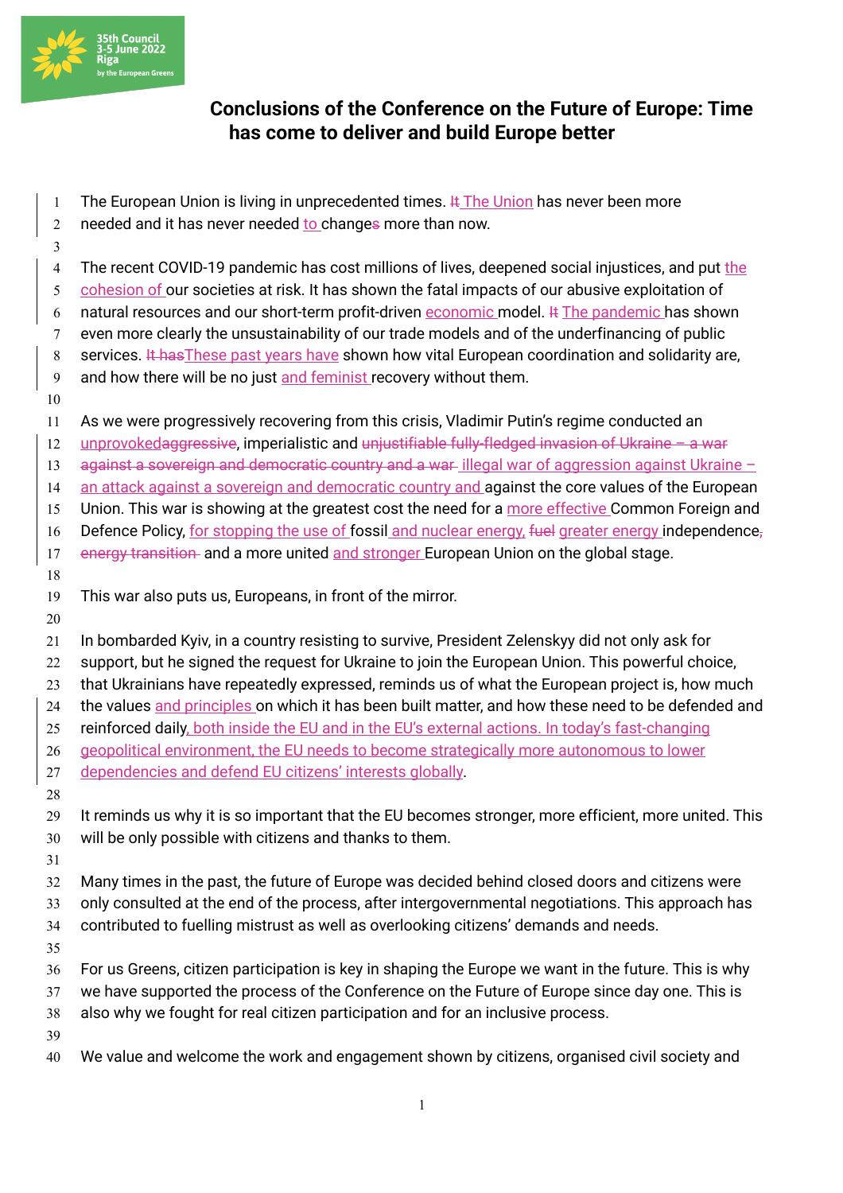

## **Conclusions of the Conference on the Future of Europe: Time has come to deliver and build Europe better**

- 1 The European Union is living in unprecedented times.  $\frac{1}{2}$  The Union has never been more
- 2 needed and it has never needed to changes more than now.
- 4 The recent COVID-19 pandemic has cost millions of lives, deepened social injustices, and put the
- cohesion of our societies at risk. It has shown the fatal impacts of our abusive exploitation of
- 6 natural resources and our short-term profit-driven economic model.  $\#$  The pandemic has shown even more clearly the unsustainability of our trade models and of the underfinancing of public
- 8 services. It has These past years have shown how vital European coordination and solidarity are,
- 9 and how there will be no just and feminist recovery without them.
- 

- As we were progressively recovering from this crisis, Vladimir Putin's regime conducted an
- unprovokedaggressive, imperialistic and unjustifiable fully-fledged invasion of Ukraine a war
- 13 against a sovereign and democratic country and a war-illegal war of aggression against Ukraine  $-$
- 14 an attack against a sovereign and democratic country and against the core values of the European
- 15 Union. This war is showing at the greatest cost the need for a more effective Common Foreign and
- 16 Defence Policy, for stopping the use of fossil and nuclear energy, fuel greater energy independence,
- 17 energy transition and a more united and stronger European Union on the global stage.
- 
- This war also puts us, Europeans, in front of the mirror.
- 
- In bombarded Kyiv, in a country resisting to survive, President Zelenskyy did not only ask for
- support, but he signed the request for Ukraine to join the European Union. This powerful choice,
- 23 that Ukrainians have repeatedly expressed, reminds us of what the European project is, how much
- the values and principles on which it has been built matter, and how these need to be defended and
- 25 reinforced daily, both inside the EU and in the EU's external actions. In today's fast-changing
- geopolitical environment, the EU needs to become strategically more autonomous to lower
- dependencies and defend EU citizens' interests globally.
- It reminds us why it is so important that the EU becomes stronger, more efficient, more united. This
	- will be only possible with citizens and thanks to them.
	-
	- Many times in the past, the future of Europe was decided behind closed doors and citizens were
	- only consulted at the end of the process, after intergovernmental negotiations. This approach has
	- contributed to fuelling mistrust as well as overlooking citizens' demands and needs.
	-
	- For us Greens, citizen participation is key in shaping the Europe we want in the future. This is why
- we have supported the process of the Conference on the Future of Europe since day one. This is
- also why we fought for real citizen participation and for an inclusive process.
- 
- We value and welcome the work and engagement shown by citizens, organised civil society and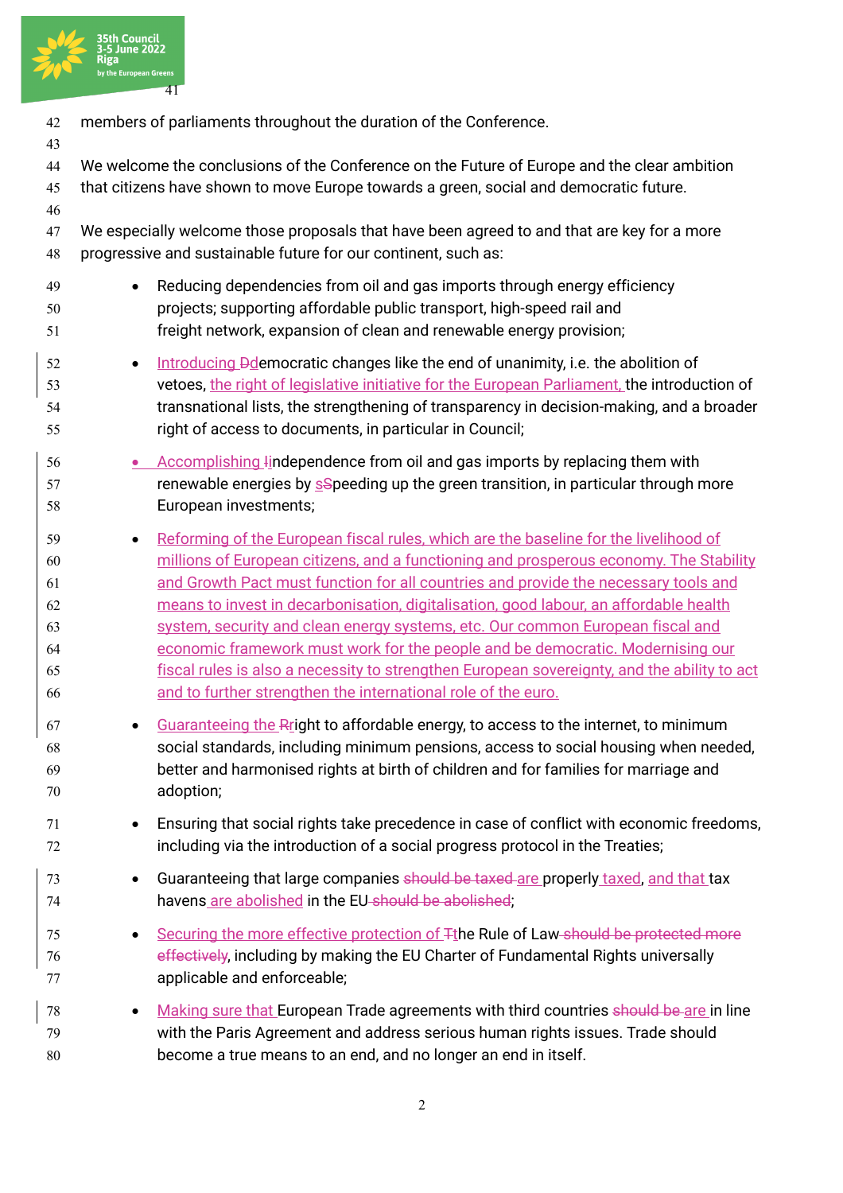

| 42<br>43                                     | members of parliaments throughout the duration of the Conference.                                                                                                                                                                                                                                                                                                                                                                                                                                                                                                                                                                                                                                               |
|----------------------------------------------|-----------------------------------------------------------------------------------------------------------------------------------------------------------------------------------------------------------------------------------------------------------------------------------------------------------------------------------------------------------------------------------------------------------------------------------------------------------------------------------------------------------------------------------------------------------------------------------------------------------------------------------------------------------------------------------------------------------------|
| 44<br>45<br>46                               | We welcome the conclusions of the Conference on the Future of Europe and the clear ambition<br>that citizens have shown to move Europe towards a green, social and democratic future.                                                                                                                                                                                                                                                                                                                                                                                                                                                                                                                           |
| 47<br>48                                     | We especially welcome those proposals that have been agreed to and that are key for a more<br>progressive and sustainable future for our continent, such as:                                                                                                                                                                                                                                                                                                                                                                                                                                                                                                                                                    |
| 49<br>50<br>51                               | Reducing dependencies from oil and gas imports through energy efficiency<br>projects; supporting affordable public transport, high-speed rail and<br>freight network, expansion of clean and renewable energy provision;                                                                                                                                                                                                                                                                                                                                                                                                                                                                                        |
| 52<br>53<br>54<br>55                         | Introducing Pdemocratic changes like the end of unanimity, i.e. the abolition of<br>$\bullet$<br>vetoes, the right of legislative initiative for the European Parliament, the introduction of<br>transnational lists, the strengthening of transparency in decision-making, and a broader<br>right of access to documents, in particular in Council;                                                                                                                                                                                                                                                                                                                                                            |
| 56<br>57<br>58                               | • Accomplishing lindependence from oil and gas imports by replacing them with<br>renewable energies by s <sup>S</sup> peeding up the green transition, in particular through more<br>European investments;                                                                                                                                                                                                                                                                                                                                                                                                                                                                                                      |
| 59<br>60<br>61<br>62<br>63<br>64<br>65<br>66 | Reforming of the European fiscal rules, which are the baseline for the livelihood of<br>$\bullet$<br>millions of European citizens, and a functioning and prosperous economy. The Stability<br>and Growth Pact must function for all countries and provide the necessary tools and<br>means to invest in decarbonisation, digitalisation, good labour, an affordable health<br>system, security and clean energy systems, etc. Our common European fiscal and<br>economic framework must work for the people and be democratic. Modernising our<br>fiscal rules is also a necessity to strengthen European sovereignty, and the ability to act<br>and to further strengthen the international role of the euro. |
| 67<br>68<br>69<br>70                         | Guaranteeing the Rright to affordable energy, to access to the internet, to minimum<br>٠<br>social standards, including minimum pensions, access to social housing when needed,<br>better and harmonised rights at birth of children and for families for marriage and<br>adoption;                                                                                                                                                                                                                                                                                                                                                                                                                             |
| 71<br>72                                     | Ensuring that social rights take precedence in case of conflict with economic freedoms,<br>including via the introduction of a social progress protocol in the Treaties;                                                                                                                                                                                                                                                                                                                                                                                                                                                                                                                                        |
| 73<br>74                                     | Guaranteeing that large companies should be taxed are properly taxed, and that tax<br>$\bullet$<br>havens are abolished in the EU-should be abolished;                                                                                                                                                                                                                                                                                                                                                                                                                                                                                                                                                          |
| 75<br>76<br>77                               | Securing the more effective protection of $\mp$ the Rule of Law should be protected more<br>$\bullet$<br>effectively, including by making the EU Charter of Fundamental Rights universally<br>applicable and enforceable;                                                                                                                                                                                                                                                                                                                                                                                                                                                                                       |
| 78<br>79<br>80                               | Making sure that European Trade agreements with third countries should be are in line<br>$\bullet$<br>with the Paris Agreement and address serious human rights issues. Trade should<br>become a true means to an end, and no longer an end in itself.                                                                                                                                                                                                                                                                                                                                                                                                                                                          |